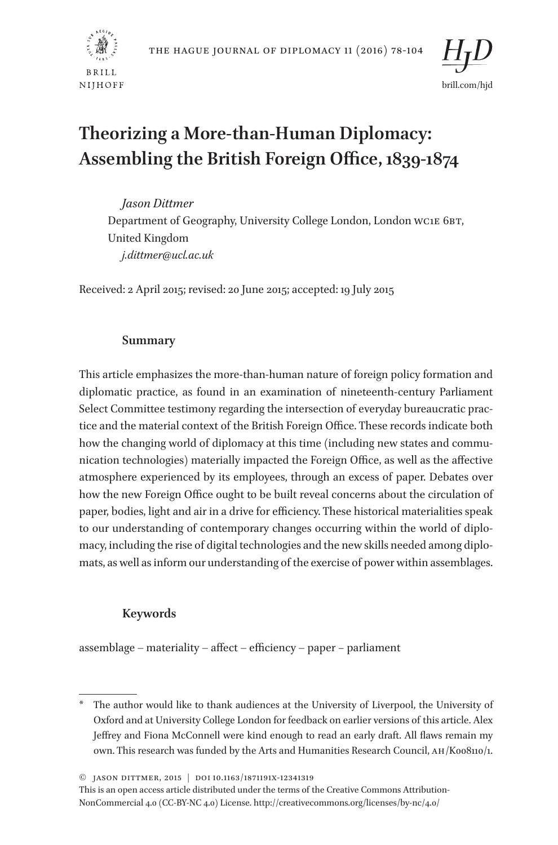



# **Theorizing a More-than-Human Diplomacy: Assembling the British Foreign Office, 1839-1874**

## *Jason Dittmer*

Department of Geography, University College London, London WC1E 6BT, United Kingdom *j.dittmer@ucl.ac.uk*

Received: 2 April 2015; revised: 20 June 2015; accepted: 19 July 2015

## **Summary**

This article emphasizes the more-than-human nature of foreign policy formation and diplomatic practice, as found in an examination of nineteenth-century Parliament Select Committee testimony regarding the intersection of everyday bureaucratic practice and the material context of the British Foreign Office. These records indicate both how the changing world of diplomacy at this time (including new states and communication technologies) materially impacted the Foreign Office, as well as the affective atmosphere experienced by its employees, through an excess of paper. Debates over how the new Foreign Office ought to be built reveal concerns about the circulation of paper, bodies, light and air in a drive for efficiency. These historical materialities speak to our understanding of contemporary changes occurring within the world of diplomacy, including the rise of digital technologies and the new skills needed among diplomats, as well as inform our understanding of the exercise of power within assemblages.

# **Keywords**

assemblage – materiality – affect – efficiency – paper − parliament

The author would like to thank audiences at the University of Liverpool, the University of Oxford and at University College London for feedback on earlier versions of this article. Alex Jeffrey and Fiona McConnell were kind enough to read an early draft. All flaws remain my own. This research was funded by the Arts and Humanities Research Council, AH/K008110/1.

<sup>©</sup> jason dittmer, 2015 | doi 10.1163/1871191X-12341319

This is an open access article distributed under the terms of the Creative Commons Attribution-NonCommercial 4.0 (CC-BY-NC 4.0) License. http://creativecommons.org/licenses/by-nc/4.0/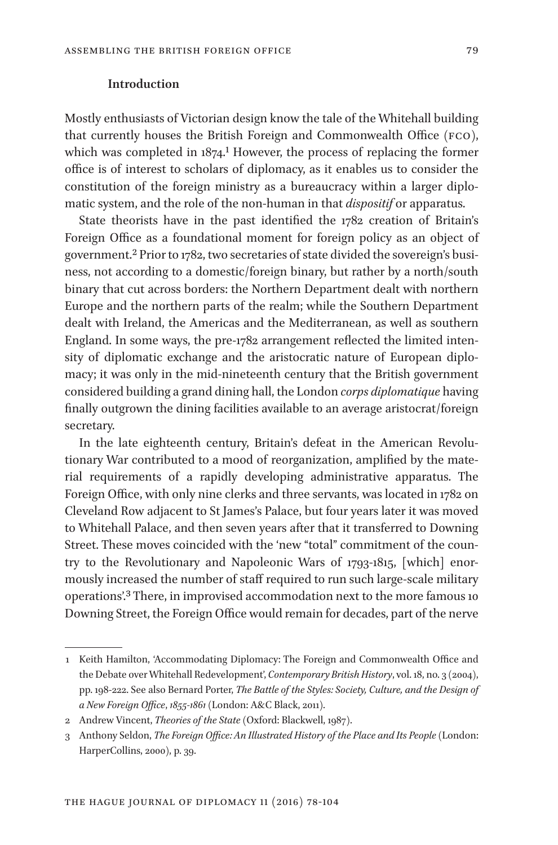## **Introduction**

Mostly enthusiasts of Victorian design know the tale of the Whitehall building that currently houses the British Foreign and Commonwealth Office (FCO), which was completed in 1874.<sup>1</sup> However, the process of replacing the former office is of interest to scholars of diplomacy, as it enables us to consider the constitution of the foreign ministry as a bureaucracy within a larger diplomatic system, and the role of the non-human in that *dispositif* or apparatus.

State theorists have in the past identified the 1782 creation of Britain's Foreign Office as a foundational moment for foreign policy as an object of government.2 Prior to 1782, two secretaries of state divided the sovereign's business, not according to a domestic/foreign binary, but rather by a north/south binary that cut across borders: the Northern Department dealt with northern Europe and the northern parts of the realm; while the Southern Department dealt with Ireland, the Americas and the Mediterranean, as well as southern England. In some ways, the pre-1782 arrangement reflected the limited intensity of diplomatic exchange and the aristocratic nature of European diplomacy; it was only in the mid-nineteenth century that the British government considered building a grand dining hall, the London *corps diplomatique* having finally outgrown the dining facilities available to an average aristocrat/foreign secretary.

In the late eighteenth century, Britain's defeat in the American Revolutionary War contributed to a mood of reorganization, amplified by the material requirements of a rapidly developing administrative apparatus. The Foreign Office, with only nine clerks and three servants, was located in 1782 on Cleveland Row adjacent to St James's Palace, but four years later it was moved to Whitehall Palace, and then seven years after that it transferred to Downing Street. These moves coincided with the 'new "total" commitment of the country to the Revolutionary and Napoleonic Wars of 1793-1815, [which] enormously increased the number of staff required to run such large-scale military operations'.3 There, in improvised accommodation next to the more famous 10 Downing Street, the Foreign Office would remain for decades, part of the nerve

<sup>1</sup> Keith Hamilton, 'Accommodating Diplomacy: The Foreign and Commonwealth Office and the Debate over Whitehall Redevelopment', *Contemporary British History*, vol. 18, no. 3 (2004), pp. 198-222. See also Bernard Porter, *The Battle of the Styles: Society, Culture, and the Design of a New Foreign Office*, *1855-1861* (London: A&C Black, 2011).

<sup>2</sup> Andrew Vincent, *Theories of the State* (Oxford: Blackwell, 1987).

<sup>3</sup> Anthony Seldon, *The Foreign Office: An Illustrated History of the Place and Its People* (London: HarperCollins, 2000), p. 39.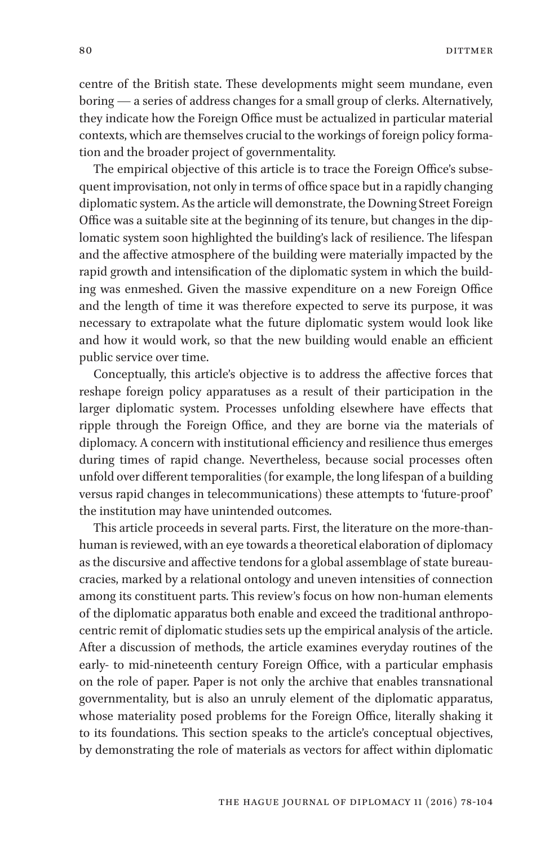centre of the British state. These developments might seem mundane, even boring — a series of address changes for a small group of clerks. Alternatively, they indicate how the Foreign Office must be actualized in particular material contexts, which are themselves crucial to the workings of foreign policy formation and the broader project of governmentality.

The empirical objective of this article is to trace the Foreign Office's subsequent improvisation, not only in terms of office space but in a rapidly changing diplomatic system. As the article will demonstrate, the Downing Street Foreign Office was a suitable site at the beginning of its tenure, but changes in the diplomatic system soon highlighted the building's lack of resilience. The lifespan and the affective atmosphere of the building were materially impacted by the rapid growth and intensification of the diplomatic system in which the building was enmeshed. Given the massive expenditure on a new Foreign Office and the length of time it was therefore expected to serve its purpose, it was necessary to extrapolate what the future diplomatic system would look like and how it would work, so that the new building would enable an efficient public service over time.

Conceptually, this article's objective is to address the affective forces that reshape foreign policy apparatuses as a result of their participation in the larger diplomatic system. Processes unfolding elsewhere have effects that ripple through the Foreign Office, and they are borne via the materials of diplomacy. A concern with institutional efficiency and resilience thus emerges during times of rapid change. Nevertheless, because social processes often unfold over different temporalities (for example, the long lifespan of a building versus rapid changes in telecommunications) these attempts to 'future-proof' the institution may have unintended outcomes.

This article proceeds in several parts. First, the literature on the more-thanhuman is reviewed, with an eye towards a theoretical elaboration of diplomacy as the discursive and affective tendons for a global assemblage of state bureaucracies, marked by a relational ontology and uneven intensities of connection among its constituent parts. This review's focus on how non-human elements of the diplomatic apparatus both enable and exceed the traditional anthropocentric remit of diplomatic studies sets up the empirical analysis of the article. After a discussion of methods, the article examines everyday routines of the early- to mid-nineteenth century Foreign Office, with a particular emphasis on the role of paper. Paper is not only the archive that enables transnational governmentality, but is also an unruly element of the diplomatic apparatus, whose materiality posed problems for the Foreign Office, literally shaking it to its foundations. This section speaks to the article's conceptual objectives, by demonstrating the role of materials as vectors for affect within diplomatic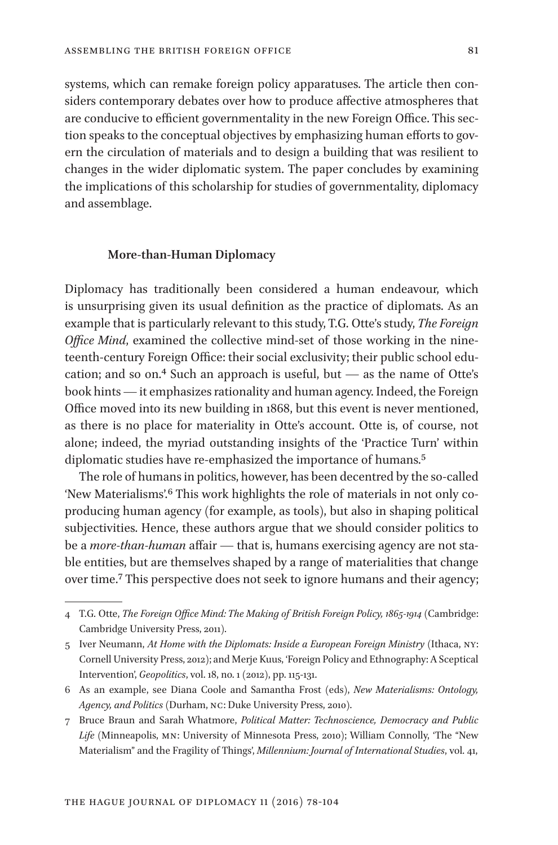systems, which can remake foreign policy apparatuses. The article then considers contemporary debates over how to produce affective atmospheres that are conducive to efficient governmentality in the new Foreign Office. This section speaks to the conceptual objectives by emphasizing human efforts to govern the circulation of materials and to design a building that was resilient to changes in the wider diplomatic system. The paper concludes by examining the implications of this scholarship for studies of governmentality, diplomacy and assemblage.

## **More-than-Human Diplomacy**

Diplomacy has traditionally been considered a human endeavour, which is unsurprising given its usual definition as the practice of diplomats. As an example that is particularly relevant to this study, T.G. Otte's study, *The Foreign Office Mind*, examined the collective mind-set of those working in the nineteenth-century Foreign Office: their social exclusivity; their public school education; and so on.<sup>4</sup> Such an approach is useful, but  $-$  as the name of Otte's book hints — it emphasizes rationality and human agency. Indeed, the Foreign Office moved into its new building in 1868, but this event is never mentioned, as there is no place for materiality in Otte's account. Otte is, of course, not alone; indeed, the myriad outstanding insights of the 'Practice Turn' within diplomatic studies have re-emphasized the importance of humans.<sup>5</sup>

The role of humans in politics, however, has been decentred by the so-called 'New Materialisms'.<sup>6</sup> This work highlights the role of materials in not only coproducing human agency (for example, as tools), but also in shaping political subjectivities. Hence, these authors argue that we should consider politics to be a *more-than-human* affair — that is, humans exercising agency are not stable entities, but are themselves shaped by a range of materialities that change over time.7 This perspective does not seek to ignore humans and their agency;

<sup>4</sup> T.G. Otte, *The Foreign Office Mind: The Making of British Foreign Policy, 1865-1914* (Cambridge: Cambridge University Press, 2011).

<sup>5</sup> Iver Neumann, *At Home with the Diplomats: Inside a European Foreign Ministry* (Ithaca, NY: Cornell University Press, 2012); and Merje Kuus, 'Foreign Policy and Ethnography: A Sceptical Intervention', *Geopolitics*, vol. 18, no. 1 (2012), pp. 115-131.

<sup>6</sup> As an example, see Diana Coole and Samantha Frost (eds), *New Materialisms: Ontology, Agency, and Politics* (Durham, NC: Duke University Press, 2010).

<sup>7</sup> Bruce Braun and Sarah Whatmore, *Political Matter: Technoscience, Democracy and Public Life* (Minneapolis, MN: University of Minnesota Press, 2010); William Connolly, 'The "New Materialism" and the Fragility of Things', *Millennium: Journal of International Studies*, vol. 41,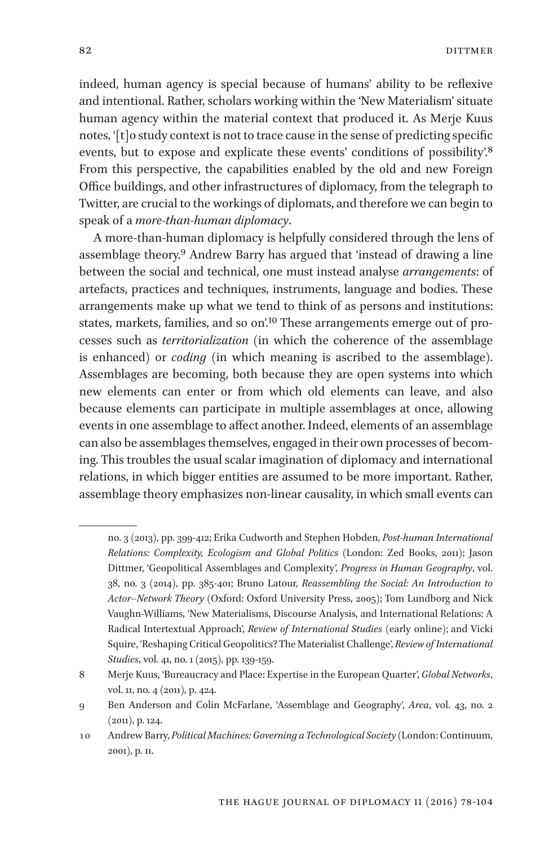indeed, human agency is special because of humans' ability to be reflexive and intentional. Rather, scholars working within the 'New Materialism' situate human agency within the material context that produced it. As Merje Kuus notes, '[t]o study context is not to trace cause in the sense of predicting specific events, but to expose and explicate these events' conditions of possibility'.8 From this perspective, the capabilities enabled by the old and new Foreign Office buildings, and other infrastructures of diplomacy, from the telegraph to Twitter, are crucial to the workings of diplomats, and therefore we can begin to speak of a *more-than-human diplomacy*.

A more-than-human diplomacy is helpfully considered through the lens of assemblage theory.9 Andrew Barry has argued that 'instead of drawing a line between the social and technical, one must instead analyse *arrangements*: of artefacts, practices and techniques, instruments, language and bodies. These arrangements make up what we tend to think of as persons and institutions: states, markets, families, and so on'.10 These arrangements emerge out of processes such as *territorialization* (in which the coherence of the assemblage is enhanced) or *coding* (in which meaning is ascribed to the assemblage). Assemblages are becoming, both because they are open systems into which new elements can enter or from which old elements can leave, and also because elements can participate in multiple assemblages at once, allowing events in one assemblage to affect another. Indeed, elements of an assemblage can also be assemblages themselves, engaged in their own processes of becoming. This troubles the usual scalar imagination of diplomacy and international relations, in which bigger entities are assumed to be more important. Rather, assemblage theory emphasizes non-linear causality, in which small events can

no. 3 (2013), pp. 399-412; Erika Cudworth and Stephen Hobden, *Post-human International Relations: Complexity, Ecologism and Global Politics* (London: Zed Books, 2011); Jason Dittmer, 'Geopolitical Assemblages and Complexity', *Progress in Human Geography*, vol. 38, no. 3 (2014), pp. 385-401; Bruno Latour, *Reassembling the Social: An Introduction to Actor*–*Network Theory* (Oxford: Oxford University Press, 2005); Tom Lundborg and Nick Vaughn-Williams, 'New Materialisms, Discourse Analysis, and International Relations: A Radical Intertextual Approach', *Review of International Studies* (early online); and Vicki Squire, 'Reshaping Critical Geopolitics? The Materialist Challenge', *Review of International Studies*, vol. 41, no. 1 (2015), pp. 139-159.

<sup>8</sup> Merje Kuus, 'Bureaucracy and Place: Expertise in the European Quarter', *Global Networks*, vol. 11, no. 4 (2011), p. 424.

<sup>9</sup> Ben Anderson and Colin McFarlane, 'Assemblage and Geography', *Area*, vol. 43, no. 2 (2011), p. 124.

<sup>10</sup> Andrew Barry, *Political Machines: Governing a Technological Society* (London: Continuum, 2001), p. 11.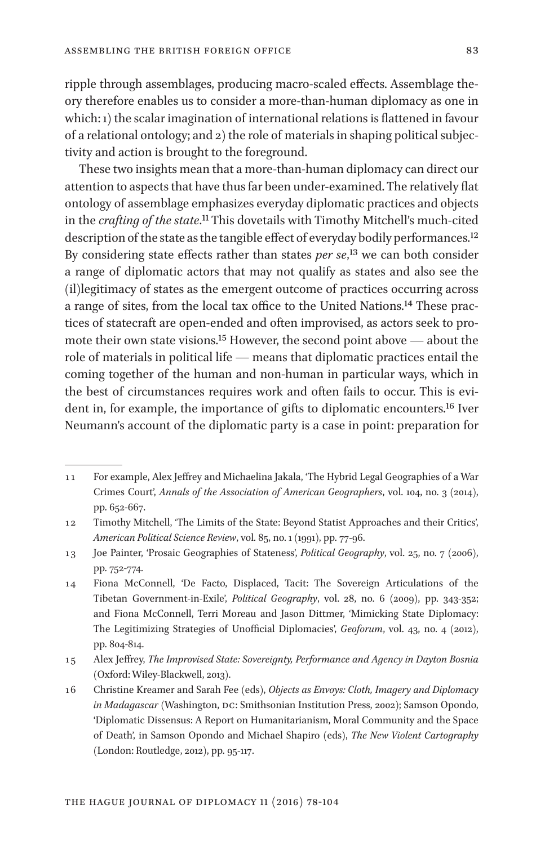ripple through assemblages, producing macro-scaled effects. Assemblage theory therefore enables us to consider a more-than-human diplomacy as one in which: 1) the scalar imagination of international relations is flattened in favour of a relational ontology; and 2) the role of materials in shaping political subjectivity and action is brought to the foreground.

These two insights mean that a more-than-human diplomacy can direct our attention to aspects that have thus far been under-examined. The relatively flat ontology of assemblage emphasizes everyday diplomatic practices and objects in the *crafting of the state*.11 This dovetails with Timothy Mitchell's much-cited description of the state as the tangible effect of everyday bodily performances.<sup>12</sup> By considering state effects rather than states *per se*,13 we can both consider a range of diplomatic actors that may not qualify as states and also see the (il)legitimacy of states as the emergent outcome of practices occurring across a range of sites, from the local tax office to the United Nations.14 These practices of statecraft are open-ended and often improvised, as actors seek to promote their own state visions.15 However, the second point above — about the role of materials in political life — means that diplomatic practices entail the coming together of the human and non-human in particular ways, which in the best of circumstances requires work and often fails to occur. This is evident in, for example, the importance of gifts to diplomatic encounters.16 Iver Neumann's account of the diplomatic party is a case in point: preparation for

<sup>11</sup> For example, Alex Jeffrey and Michaelina Jakala, 'The Hybrid Legal Geographies of a War Crimes Court', *Annals of the Association of American Geographers*, vol. 104, no. 3 (2014), pp. 652-667.

<sup>12</sup> Timothy Mitchell, 'The Limits of the State: Beyond Statist Approaches and their Critics', *American Political Science Review*, vol. 85, no. 1 (1991), pp. 77-96.

<sup>13</sup> Joe Painter, 'Prosaic Geographies of Stateness', *Political Geography*, vol. 25, no. 7 (2006), pp. 752-774.

<sup>14</sup> Fiona McConnell, 'De Facto, Displaced, Tacit: The Sovereign Articulations of the Tibetan Government-in-Exile', *Political Geography*, vol. 28, no. 6 (2009), pp. 343-352; and Fiona McConnell, Terri Moreau and Jason Dittmer, 'Mimicking State Diplomacy: The Legitimizing Strategies of Unofficial Diplomacies', *Geoforum*, vol. 43, no. 4 (2012), pp. 804-814.

<sup>15</sup> Alex Jeffrey, *The Improvised State: Sovereignty, Performance and Agency in Dayton Bosnia* (Oxford: Wiley-Blackwell, 2013).

<sup>16</sup> Christine Kreamer and Sarah Fee (eds), *Objects as Envoys: Cloth, Imagery and Diplomacy in Madagascar* (Washington, DC: Smithsonian Institution Press, 2002); Samson Opondo, 'Diplomatic Dissensus: A Report on Humanitarianism, Moral Community and the Space of Death', in Samson Opondo and Michael Shapiro (eds), *The New Violent Cartography* (London: Routledge, 2012), pp. 95-117.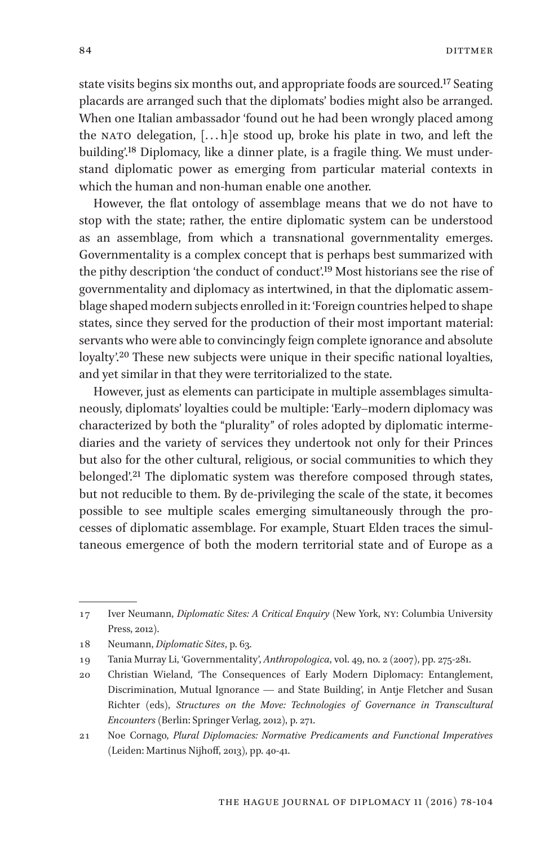state visits begins six months out, and appropriate foods are sourced.<sup>17</sup> Seating placards are arranged such that the diplomats' bodies might also be arranged. When one Italian ambassador 'found out he had been wrongly placed among the NATO delegation,  $[\ldots,h]$  is stood up, broke his plate in two, and left the building'.<sup>18</sup> Diplomacy, like a dinner plate, is a fragile thing. We must understand diplomatic power as emerging from particular material contexts in which the human and non-human enable one another.

However, the flat ontology of assemblage means that we do not have to stop with the state; rather, the entire diplomatic system can be understood as an assemblage, from which a transnational governmentality emerges. Governmentality is a complex concept that is perhaps best summarized with the pithy description 'the conduct of conduct'.19 Most historians see the rise of governmentality and diplomacy as intertwined, in that the diplomatic assemblage shaped modern subjects enrolled in it: 'Foreign countries helped to shape states, since they served for the production of their most important material: servants who were able to convincingly feign complete ignorance and absolute loyalty'.<sup>20</sup> These new subjects were unique in their specific national loyalties, and yet similar in that they were territorialized to the state.

However, just as elements can participate in multiple assemblages simultaneously, diplomats' loyalties could be multiple: 'Early–modern diplomacy was characterized by both the "plurality" of roles adopted by diplomatic intermediaries and the variety of services they undertook not only for their Princes but also for the other cultural, religious, or social communities to which they belonged'.21 The diplomatic system was therefore composed through states, but not reducible to them. By de-privileging the scale of the state, it becomes possible to see multiple scales emerging simultaneously through the processes of diplomatic assemblage. For example, Stuart Elden traces the simultaneous emergence of both the modern territorial state and of Europe as a

<sup>17</sup> Iver Neumann, *Diplomatic Sites: A Critical Enquiry* (New York, NY: Columbia University Press, 2012).

<sup>18</sup> Neumann, *Diplomatic Sites*, p. 63.

<sup>19</sup> Tania Murray Li, 'Governmentality', *Anthropologica*, vol. 49, no. 2 (2007), pp. 275-281.

<sup>20</sup> Christian Wieland, 'The Consequences of Early Modern Diplomacy: Entanglement, Discrimination, Mutual Ignorance — and State Building', in Antje Fletcher and Susan Richter (eds), *Structures on the Move: Technologies of Governance in Transcultural Encounters* (Berlin: Springer Verlag, 2012), p. 271.

<sup>21</sup> Noe Cornago, *Plural Diplomacies: Normative Predicaments and Functional Imperatives* (Leiden: Martinus Nijhoff, 2013), pp. 40-41.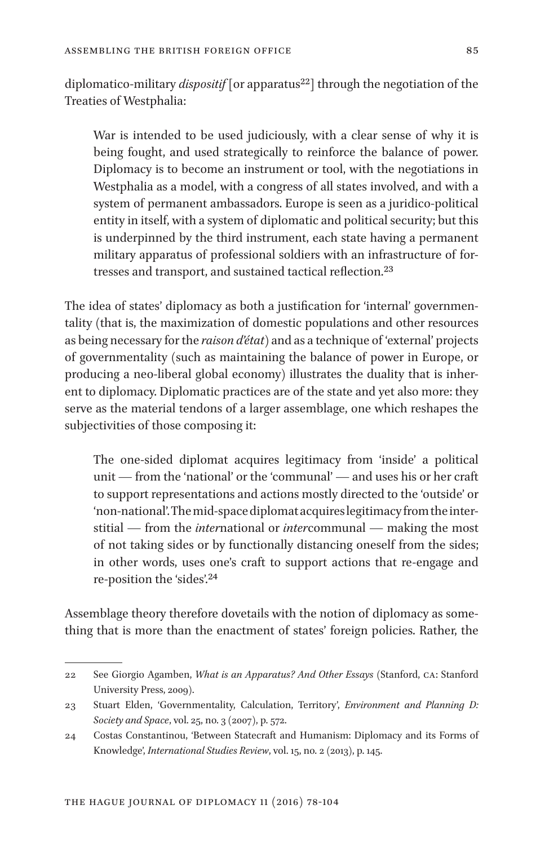diplomatico-military *dispositif* [or apparatus<sup>22</sup>] through the negotiation of the Treaties of Westphalia:

War is intended to be used judiciously, with a clear sense of why it is being fought, and used strategically to reinforce the balance of power. Diplomacy is to become an instrument or tool, with the negotiations in Westphalia as a model, with a congress of all states involved, and with a system of permanent ambassadors. Europe is seen as a juridico-political entity in itself, with a system of diplomatic and political security; but this is underpinned by the third instrument, each state having a permanent military apparatus of professional soldiers with an infrastructure of fortresses and transport, and sustained tactical reflection.23

The idea of states' diplomacy as both a justification for 'internal' governmentality (that is, the maximization of domestic populations and other resources as being necessary for the *raison d'état*) and as a technique of 'external' projects of governmentality (such as maintaining the balance of power in Europe, or producing a neo-liberal global economy) illustrates the duality that is inherent to diplomacy. Diplomatic practices are of the state and yet also more: they serve as the material tendons of a larger assemblage, one which reshapes the subjectivities of those composing it:

The one-sided diplomat acquires legitimacy from 'inside' a political unit — from the 'national' or the 'communal' — and uses his or her craft to support representations and actions mostly directed to the 'outside' or 'non-national'. The mid-space diplomat acquires legitimacy from the interstitial — from the *inter*national or *inter*communal — making the most of not taking sides or by functionally distancing oneself from the sides; in other words, uses one's craft to support actions that re-engage and re-position the 'sides'.24

Assemblage theory therefore dovetails with the notion of diplomacy as something that is more than the enactment of states' foreign policies. Rather, the

<sup>22</sup> See Giorgio Agamben, *What is an Apparatus? And Other Essays* (Stanford, CA: Stanford University Press, 2009).

<sup>23</sup> Stuart Elden, 'Governmentality, Calculation, Territory', *Environment and Planning D: Society and Space*, vol. 25, no. 3 (2007), p. 572.

<sup>24</sup> Costas Constantinou, 'Between Statecraft and Humanism: Diplomacy and its Forms of Knowledge', *International Studies Review*, vol. 15, no. 2 (2013), p. 145.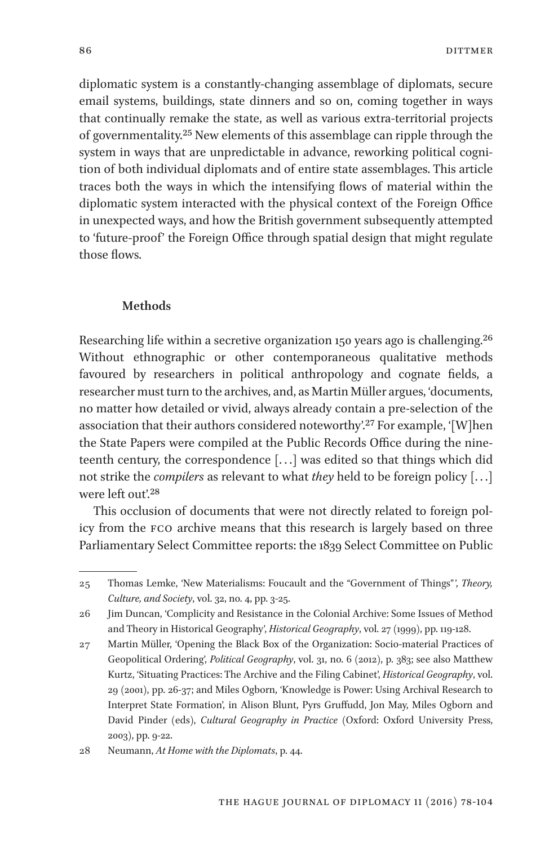diplomatic system is a constantly-changing assemblage of diplomats, secure email systems, buildings, state dinners and so on, coming together in ways that continually remake the state, as well as various extra-territorial projects of governmentality.25 New elements of this assemblage can ripple through the system in ways that are unpredictable in advance, reworking political cognition of both individual diplomats and of entire state assemblages. This article traces both the ways in which the intensifying flows of material within the diplomatic system interacted with the physical context of the Foreign Office in unexpected ways, and how the British government subsequently attempted to 'future-proof' the Foreign Office through spatial design that might regulate those flows.

#### **Methods**

Researching life within a secretive organization 150 years ago is challenging.26 Without ethnographic or other contemporaneous qualitative methods favoured by researchers in political anthropology and cognate fields, a researcher must turn to the archives, and, as Martin Müller argues, 'documents, no matter how detailed or vivid, always already contain a pre-selection of the association that their authors considered noteworthy'.27 For example, '[W]hen the State Papers were compiled at the Public Records Office during the nineteenth century, the correspondence [. . .] was edited so that things which did not strike the *compilers* as relevant to what *they* held to be foreign policy [. . .] were left out'.28

This occlusion of documents that were not directly related to foreign policy from the FCO archive means that this research is largely based on three Parliamentary Select Committee reports: the 1839 Select Committee on Public

<sup>25</sup> Thomas Lemke, 'New Materialisms: Foucault and the "Government of Things" ', *Theory, Culture, and Society*, vol. 32, no. 4, pp. 3-25.

<sup>26</sup> Jim Duncan, 'Complicity and Resistance in the Colonial Archive: Some Issues of Method and Theory in Historical Geography', *Historical Geography*, vol. 27 (1999), pp. 119-128.

<sup>27</sup> Martin Müller, 'Opening the Black Box of the Organization: Socio-material Practices of Geopolitical Ordering', *Political Geography*, vol. 31, no. 6 (2012), p. 383; see also Matthew Kurtz, 'Situating Practices: The Archive and the Filing Cabinet', *Historical Geography*, vol. 29 (2001), pp. 26-37; and Miles Ogborn, 'Knowledge is Power: Using Archival Research to Interpret State Formation', in Alison Blunt, Pyrs Gruffudd, Jon May, Miles Ogborn and David Pinder (eds), *Cultural Geography in Practice* (Oxford: Oxford University Press, 2003), pp. 9-22.

<sup>28</sup> Neumann, *At Home with the Diplomats*, p. 44.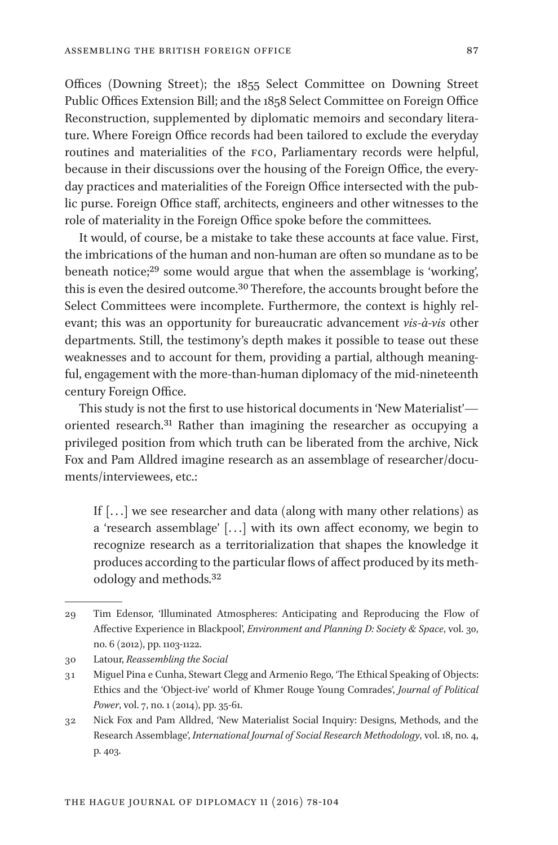Offices (Downing Street); the 1855 Select Committee on Downing Street Public Offices Extension Bill; and the 1858 Select Committee on Foreign Office Reconstruction, supplemented by diplomatic memoirs and secondary literature. Where Foreign Office records had been tailored to exclude the everyday routines and materialities of the FCO, Parliamentary records were helpful, because in their discussions over the housing of the Foreign Office, the everyday practices and materialities of the Foreign Office intersected with the public purse. Foreign Office staff, architects, engineers and other witnesses to the role of materiality in the Foreign Office spoke before the committees.

It would, of course, be a mistake to take these accounts at face value. First, the imbrications of the human and non-human are often so mundane as to be beneath notice;29 some would argue that when the assemblage is 'working', this is even the desired outcome.<sup>30</sup> Therefore, the accounts brought before the Select Committees were incomplete. Furthermore, the context is highly relevant; this was an opportunity for bureaucratic advancement *vis-à-vis* other departments. Still, the testimony's depth makes it possible to tease out these weaknesses and to account for them, providing a partial, although meaningful, engagement with the more-than-human diplomacy of the mid-nineteenth century Foreign Office.

This study is not the first to use historical documents in 'New Materialist' oriented research.31 Rather than imagining the researcher as occupying a privileged position from which truth can be liberated from the archive, Nick Fox and Pam Alldred imagine research as an assemblage of researcher/documents/interviewees, etc.:

If [...] we see researcher and data (along with many other relations) as a 'research assemblage' [. . .] with its own affect economy, we begin to recognize research as a territorialization that shapes the knowledge it produces according to the particular flows of affect produced by its methodology and methods.32

<sup>29</sup> Tim Edensor, 'Illuminated Atmospheres: Anticipating and Reproducing the Flow of Affective Experience in Blackpool', *Environment and Planning D: Society & Space*, vol. 30, no. 6 (2012), pp. 1103-1122.

<sup>30</sup> Latour, *Reassembling the Social*

<sup>31</sup> Miguel Pina e Cunha, Stewart Clegg and Armenio Rego, 'The Ethical Speaking of Objects: Ethics and the 'Object-ive' world of Khmer Rouge Young Comrades', *Journal of Political Power*, vol. 7, no. 1 (2014), pp. 35-61.

<sup>32</sup> Nick Fox and Pam Alldred, 'New Materialist Social Inquiry: Designs, Methods, and the Research Assemblage', *International Journal of Social Research Methodology*, vol. 18, no. 4, p. 403.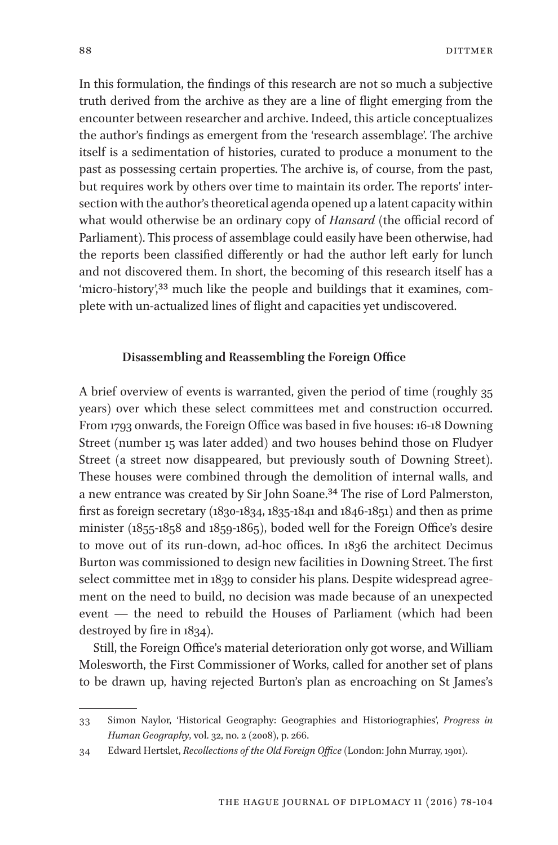In this formulation, the findings of this research are not so much a subjective truth derived from the archive as they are a line of flight emerging from the encounter between researcher and archive. Indeed, this article conceptualizes the author's findings as emergent from the 'research assemblage'. The archive itself is a sedimentation of histories, curated to produce a monument to the past as possessing certain properties. The archive is, of course, from the past, but requires work by others over time to maintain its order. The reports' intersection with the author's theoretical agenda opened up a latent capacity within what would otherwise be an ordinary copy of *Hansard* (the official record of Parliament). This process of assemblage could easily have been otherwise, had the reports been classified differently or had the author left early for lunch and not discovered them. In short, the becoming of this research itself has a 'micro-history',33 much like the people and buildings that it examines, complete with un-actualized lines of flight and capacities yet undiscovered.

#### **Disassembling and Reassembling the Foreign Office**

A brief overview of events is warranted, given the period of time (roughly 35 years) over which these select committees met and construction occurred. From 1793 onwards, the Foreign Office was based in five houses: 16-18 Downing Street (number 15 was later added) and two houses behind those on Fludyer Street (a street now disappeared, but previously south of Downing Street). These houses were combined through the demolition of internal walls, and a new entrance was created by Sir John Soane.<sup>34</sup> The rise of Lord Palmerston, first as foreign secretary (1830-1834, 1835-1841 and 1846-1851) and then as prime minister (1855-1858 and 1859-1865), boded well for the Foreign Office's desire to move out of its run-down, ad-hoc offices. In 1836 the architect Decimus Burton was commissioned to design new facilities in Downing Street. The first select committee met in 1839 to consider his plans. Despite widespread agreement on the need to build, no decision was made because of an unexpected event — the need to rebuild the Houses of Parliament (which had been destroyed by fire in 1834).

Still, the Foreign Office's material deterioration only got worse, and William Molesworth, the First Commissioner of Works, called for another set of plans to be drawn up, having rejected Burton's plan as encroaching on St James's

<sup>33</sup> Simon Naylor, 'Historical Geography: Geographies and Historiographies', *Progress in Human Geography*, vol. 32, no. 2 (2008), p. 266.

<sup>34</sup> Edward Hertslet, *Recollections of the Old Foreign Office* (London: John Murray, 1901).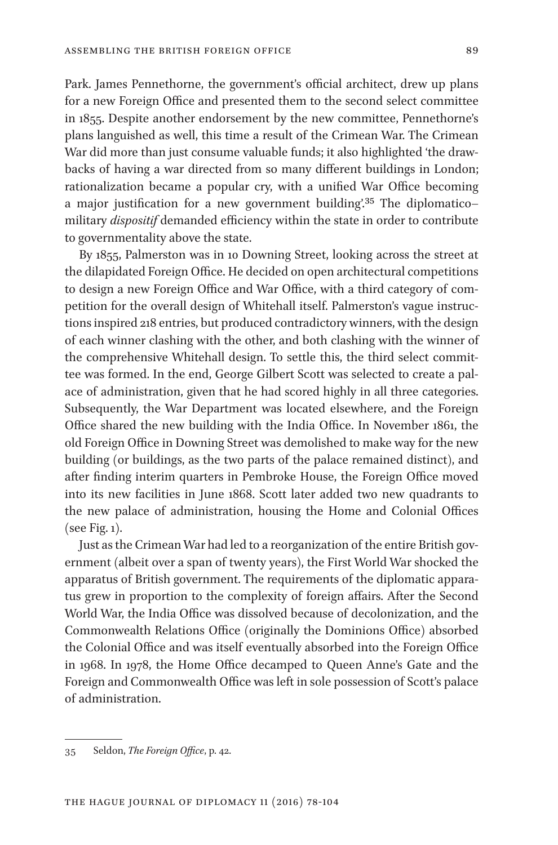Park. James Pennethorne, the government's official architect, drew up plans for a new Foreign Office and presented them to the second select committee in 1855. Despite another endorsement by the new committee, Pennethorne's plans languished as well, this time a result of the Crimean War. The Crimean War did more than just consume valuable funds; it also highlighted 'the drawbacks of having a war directed from so many different buildings in London; rationalization became a popular cry, with a unified War Office becoming a major justification for a new government building'.35 The diplomatico– military *dispositif* demanded efficiency within the state in order to contribute to governmentality above the state.

By 1855, Palmerston was in 10 Downing Street, looking across the street at the dilapidated Foreign Office. He decided on open architectural competitions to design a new Foreign Office and War Office, with a third category of competition for the overall design of Whitehall itself. Palmerston's vague instructions inspired 218 entries, but produced contradictory winners, with the design of each winner clashing with the other, and both clashing with the winner of the comprehensive Whitehall design. To settle this, the third select committee was formed. In the end, George Gilbert Scott was selected to create a palace of administration, given that he had scored highly in all three categories. Subsequently, the War Department was located elsewhere, and the Foreign Office shared the new building with the India Office. In November 1861, the old Foreign Office in Downing Street was demolished to make way for the new building (or buildings, as the two parts of the palace remained distinct), and after finding interim quarters in Pembroke House, the Foreign Office moved into its new facilities in June 1868. Scott later added two new quadrants to the new palace of administration, housing the Home and Colonial Offices (see Fig. 1).

Just as the Crimean War had led to a reorganization of the entire British government (albeit over a span of twenty years), the First World War shocked the apparatus of British government. The requirements of the diplomatic apparatus grew in proportion to the complexity of foreign affairs. After the Second World War, the India Office was dissolved because of decolonization, and the Commonwealth Relations Office (originally the Dominions Office) absorbed the Colonial Office and was itself eventually absorbed into the Foreign Office in 1968. In 1978, the Home Office decamped to Queen Anne's Gate and the Foreign and Commonwealth Office was left in sole possession of Scott's palace of administration.

<sup>35</sup> Seldon, *The Foreign Office*, p. 42.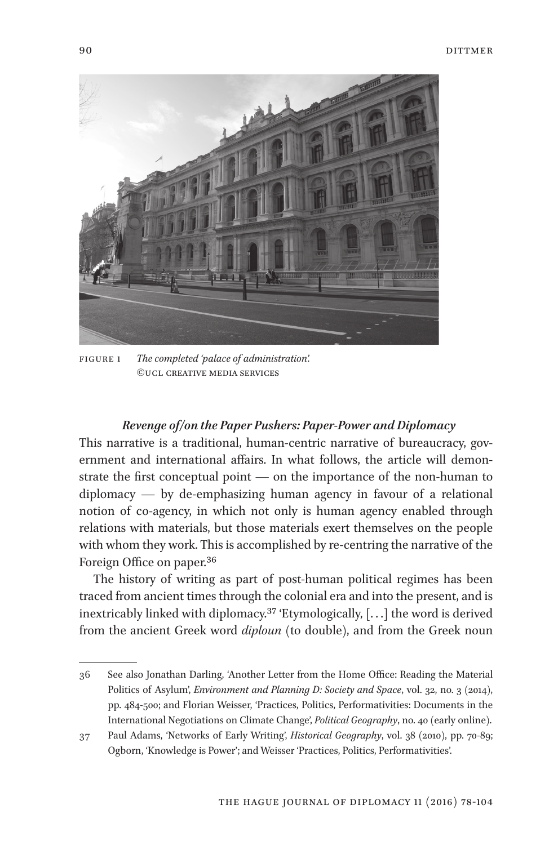

Figure 1 *The completed 'palace of administration'.*  ©UCL Creative Media Services

## *Revenge of/on the Paper Pushers: Paper-Power and Diplomacy*

This narrative is a traditional, human-centric narrative of bureaucracy, government and international affairs. In what follows, the article will demonstrate the first conceptual point — on the importance of the non-human to diplomacy — by de-emphasizing human agency in favour of a relational notion of co-agency, in which not only is human agency enabled through relations with materials, but those materials exert themselves on the people with whom they work. This is accomplished by re-centring the narrative of the Foreign Office on paper.36

The history of writing as part of post-human political regimes has been traced from ancient times through the colonial era and into the present, and is inextricably linked with diplomacy.37 'Etymologically, [. . .] the word is derived from the ancient Greek word *diploun* (to double), and from the Greek noun

<sup>36</sup> See also Jonathan Darling, 'Another Letter from the Home Office: Reading the Material Politics of Asylum', *Environment and Planning D: Society and Space*, vol. 32, no. 3 (2014), pp. 484-500; and Florian Weisser, 'Practices, Politics, Performativities: Documents in the International Negotiations on Climate Change', *Political Geography*, no. 40 (early online).

<sup>37</sup> Paul Adams, 'Networks of Early Writing', *Historical Geography*, vol. 38 (2010), pp. 70-89; Ogborn, 'Knowledge is Power'; and Weisser 'Practices, Politics, Performativities'.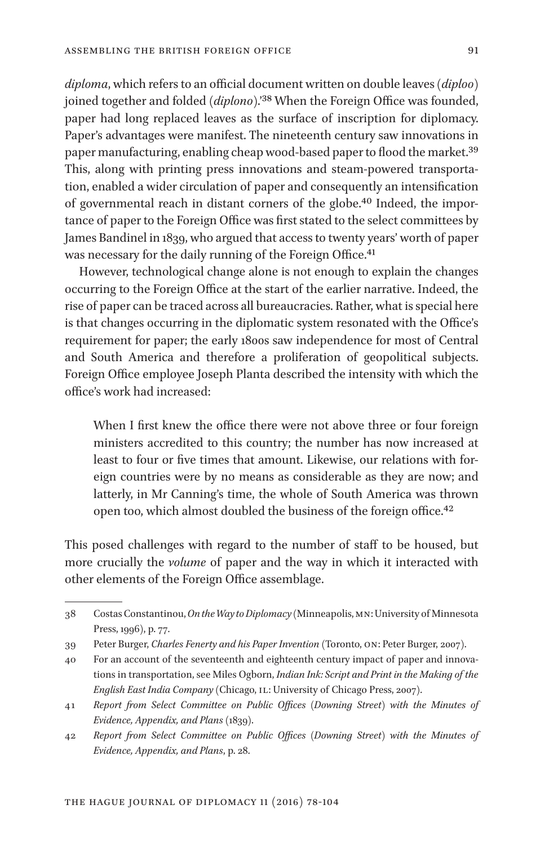*diploma*, which refers to an official document written on double leaves (*diploo*) joined together and folded (*diplono*).'38 When the Foreign Office was founded, paper had long replaced leaves as the surface of inscription for diplomacy. Paper's advantages were manifest. The nineteenth century saw innovations in paper manufacturing, enabling cheap wood-based paper to flood the market.<sup>39</sup> This, along with printing press innovations and steam-powered transportation, enabled a wider circulation of paper and consequently an intensification of governmental reach in distant corners of the globe.40 Indeed, the importance of paper to the Foreign Office was first stated to the select committees by James Bandinel in 1839, who argued that access to twenty years' worth of paper was necessary for the daily running of the Foreign Office.<sup>41</sup>

However, technological change alone is not enough to explain the changes occurring to the Foreign Office at the start of the earlier narrative. Indeed, the rise of paper can be traced across all bureaucracies. Rather, what is special here is that changes occurring in the diplomatic system resonated with the Office's requirement for paper; the early 1800s saw independence for most of Central and South America and therefore a proliferation of geopolitical subjects. Foreign Office employee Joseph Planta described the intensity with which the office's work had increased:

When I first knew the office there were not above three or four foreign ministers accredited to this country; the number has now increased at least to four or five times that amount. Likewise, our relations with foreign countries were by no means as considerable as they are now; and latterly, in Mr Canning's time, the whole of South America was thrown open too, which almost doubled the business of the foreign office.<sup>42</sup>

This posed challenges with regard to the number of staff to be housed, but more crucially the *volume* of paper and the way in which it interacted with other elements of the Foreign Office assemblage.

<sup>38</sup> Costas Constantinou, *On the Way to Diplomacy* (Minneapolis, MN: University of Minnesota Press, 1996), p. 77.

<sup>39</sup> Peter Burger, *Charles Fenerty and his Paper Invention* (Toronto, ON: Peter Burger, 2007).

<sup>40</sup> For an account of the seventeenth and eighteenth century impact of paper and innovations in transportation, see Miles Ogborn, *Indian Ink: Script and Print in the Making of the English East India Company* (Chicago, IL: University of Chicago Press, 2007).

<sup>41</sup> *Report from Select Committee on Public Offices (Downing Street) with the Minutes of Evidence, Appendix, and Plans* (1839).

<sup>42</sup> *Report from Select Committee on Public Offices (Downing Street) with the Minutes of Evidence, Appendix, and Plans*, p. 28.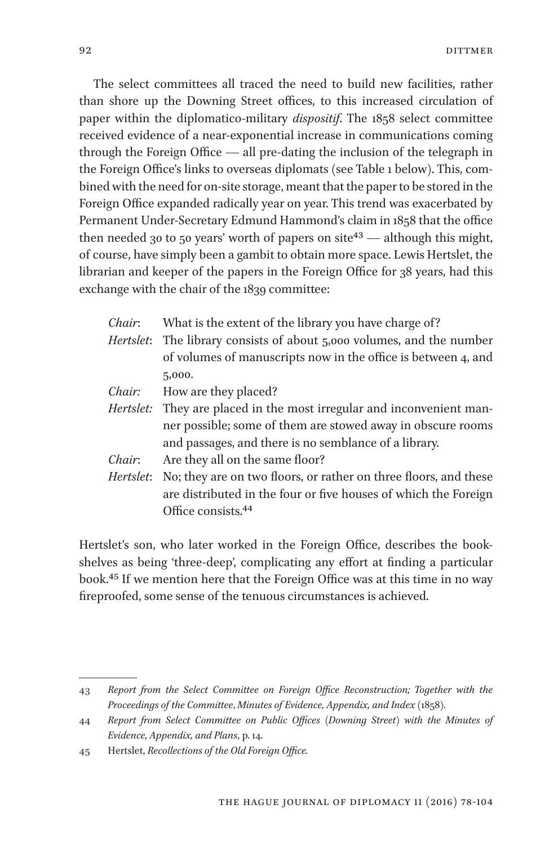The select committees all traced the need to build new facilities, rather than shore up the Downing Street offices, to this increased circulation of paper within the diplomatico-military *dispositif*. The 1858 select committee received evidence of a near-exponential increase in communications coming through the Foreign Office — all pre-dating the inclusion of the telegraph in the Foreign Office's links to overseas diplomats (see Table 1 below). This, combined with the need for on-site storage, meant that the paper to be stored in the Foreign Office expanded radically year on year. This trend was exacerbated by Permanent Under-Secretary Edmund Hammond's claim in 1858 that the office then needed 30 to 50 years' worth of papers on site<sup>43</sup> — although this might, of course, have simply been a gambit to obtain more space. Lewis Hertslet, the librarian and keeper of the papers in the Foreign Office for 38 years, had this exchange with the chair of the 1839 committee:

| Chair:    | What is the extent of the library you have charge of?                         |
|-----------|-------------------------------------------------------------------------------|
|           | <i>Hertslet</i> : The library consists of about 5,000 volumes, and the number |
|           | of volumes of manuscripts now in the office is between 4, and                 |
|           | 5,000.                                                                        |
| Chair:    | How are they placed?                                                          |
| Hertslet: | They are placed in the most irregular and inconvenient man-                   |
|           | ner possible; some of them are stowed away in obscure rooms                   |
|           | and passages, and there is no semblance of a library.                         |
| Chair:    | Are they all on the same floor?                                               |
| Hertslet: | No; they are on two floors, or rather on three floors, and these              |
|           | are distributed in the four or five houses of which the Foreign               |
|           | Office consists. <sup>44</sup>                                                |

Hertslet's son, who later worked in the Foreign Office, describes the bookshelves as being 'three-deep', complicating any effort at finding a particular book.45 If we mention here that the Foreign Office was at this time in no way fireproofed, some sense of the tenuous circumstances is achieved.

<sup>43</sup> *Report from the Select Committee on Foreign Office Reconstruction; Together with the Proceedings of the Committee*, *Minutes of Evidence, Appendix, and Index* (1858).

<sup>44</sup> *Report from Select Committee on Public Offices (Downing Street) with the Minutes of Evidence, Appendix, and Plans*, p. 14.

<sup>45</sup> Hertslet, *Recollections of the Old Foreign Office.*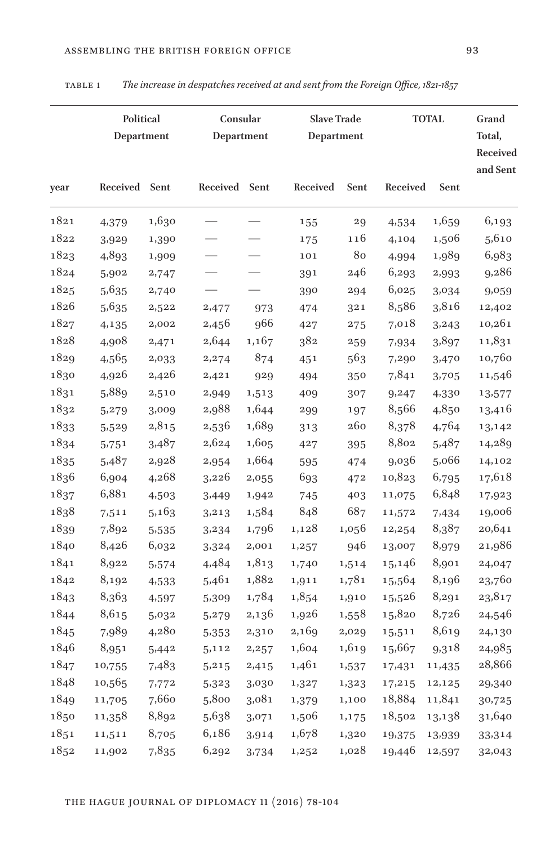|                                    | Political<br>Department |       | Consular<br>Department |       | <b>Slave Trade</b><br>Department |       | <b>TOTAL</b> |        | Grand<br>Total,<br>Received<br>and Sent |
|------------------------------------|-------------------------|-------|------------------------|-------|----------------------------------|-------|--------------|--------|-----------------------------------------|
| year                               | Received                | Sent  | Received               | Sent  | Received                         | Sent  | Received     | Sent   |                                         |
| 1821                               | 4,379                   | 1,630 |                        |       | 155                              | 29    | 4,534        | 1,659  | 6,193                                   |
| 1822                               | 3,929                   | 1,390 |                        |       | 175                              | 116   | 4,104        | 1,506  | 5,610                                   |
| 1823                               | 4,893                   | 1,909 |                        |       | 101                              | 80    | 4,994        | 1,989  | 6,983                                   |
| 1824                               | 5,902                   | 2,747 |                        |       | 391                              | 246   | 6,293        | 2,993  | 9,286                                   |
| 1825                               | 5,635                   | 2,740 |                        |       | 390                              | 294   | 6,025        | 3,034  | 9,059                                   |
| 1826                               | 5,635                   | 2,522 | 2,477                  | 973   | 474                              | 321   | 8,586        | 3,816  | 12,402                                  |
| 1827                               | 4,135                   | 2,002 | 2,456                  | 966   | 427                              | 275   | 7,018        | 3,243  | 10,261                                  |
| 1828                               | 4,908                   | 2,471 | 2,644                  | 1,167 | 382                              | 259   | 7,934        | 3,897  | 11,831                                  |
| 1829                               | 4,565                   | 2,033 | 2,274                  | 874   | 451                              | 563   | 7,290        | 3,470  | 10,760                                  |
| 1830                               | 4,926                   | 2,426 | 2,421                  | 929   | 494                              | 350   | 7,841        | 3,705  | 11,546                                  |
| 1831                               | 5,889                   | 2,510 | 2,949                  | 1,513 | 409                              | 307   | 9,247        | 4,330  | 13,577                                  |
| 1832                               | 5,279                   | 3,009 | 2,988                  | 1,644 | 299                              | 197   | 8,566        | 4,850  | 13,416                                  |
| 1833                               | 5,529                   | 2,815 | 2,536                  | 1,689 | 313                              | 260   | 8,378        | 4,764  | 13,142                                  |
| 1834                               | 5,751                   | 3,487 | 2,624                  | 1,605 | 427                              | 395   | 8,802        | 5,487  | 14,289                                  |
| 1835                               | 5,487                   | 2,928 | 2,954                  | 1,664 | 595                              | 474   | 9,036        | 5,066  | 14,102                                  |
| $\begin{matrix} 1836 \end{matrix}$ | 6,904                   | 4,268 | 3,226                  | 2,055 | 693                              | 472   | 10,823       | 6,795  | 17,618                                  |
| 1837                               | 6,881                   | 4,503 | 3,449                  | 1,942 | 745                              | 403   | 11,075       | 6,848  | 17,923                                  |
| 1838                               | 7,511                   | 5,163 | 3,213                  | 1,584 | 848                              | 687   | 11,572       | 7,434  | 19,006                                  |
| 1839                               | 7,892                   | 5,535 | 3,234                  | 1,796 | 1,128                            | 1,056 | 12,254       | 8,387  | 20,641                                  |
| 1840                               | 8,426                   | 6,032 | 3,324                  | 2,001 | 1,257                            | 946   | 13,007       | 8,979  | 21,986                                  |
| 1841                               | 8,922                   | 5,574 | 4,484                  | 1,813 | 1,740                            | 1,514 | 15,146       | 8,901  | 24,047                                  |
| 1842                               | 8,192                   | 4,533 | 5,461                  | 1,882 | 1,911                            | 1,781 | 15,564       | 8,196  | 23,760                                  |
| 1843                               | 8,363                   | 4,597 | 5,309                  | 1,784 | 1,854                            | 1,910 | 15,526       | 8,291  | 23,817                                  |
| 1844                               | 8,615                   | 5,032 | 5,279                  | 2,136 | 1,926                            | 1,558 | 15,820       | 8,726  | 24,546                                  |
| 1845                               | 7,989                   | 4,280 | 5,353                  | 2,310 | 2,169                            | 2,029 | 15,511       | 8,619  | 24,130                                  |
| 1846                               | 8,951                   | 5,442 | 5,112                  | 2,257 | 1,604                            | 1,619 | 15,667       | 9,318  | 24,985                                  |
| 1847                               | 10,755                  | 7,483 | 5,215                  | 2,415 | 1,461                            | 1,537 | 17,431       | 11,435 | 28,866                                  |
| 1848                               | 10,565                  | 7,772 | 5,323                  | 3,030 | 1,327                            | 1,323 | 17,215       | 12,125 | 29,340                                  |
| 1849                               | 11,705                  | 7,660 | 5,800                  | 3,081 | 1,379                            | 1,100 | 18,884       | 11,841 | 30,725                                  |
| 1850                               | 11,358                  | 8,892 | 5,638                  | 3,071 | 1,506                            | 1,175 | 18,502       | 13,138 | 31,640                                  |
| 1851                               | 11,511                  | 8,705 | 6,186                  | 3,914 | 1,678                            | 1,320 | 19,375       | 13,939 | 33,314                                  |
| 1852                               | 11,902                  | 7,835 | 6,292                  | 3,734 | 1,252                            | 1,028 | 19,446       | 12,597 | 32,043                                  |

Table 1 *The increase in despatches received at and sent from the Foreign Office, 1821-1857*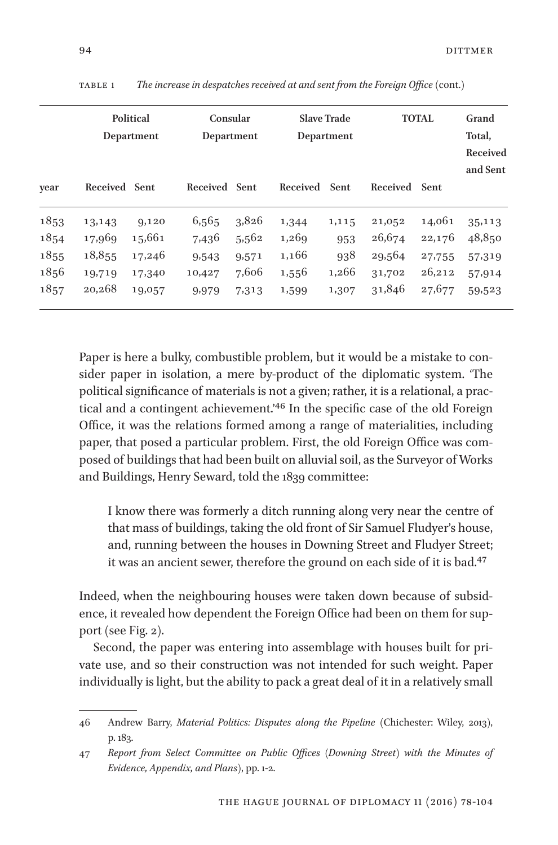|      | Political<br>Department |        | Consular<br>Department |       | <b>Slave Trade</b><br>Department |             | <b>TOTAL</b> |             | Grand<br>Total,<br>Received<br>and Sent |
|------|-------------------------|--------|------------------------|-------|----------------------------------|-------------|--------------|-------------|-----------------------------------------|
| year | Received Sent           |        | Received Sent          |       | Received                         | <b>Sent</b> | Received     | <b>Sent</b> |                                         |
| 1853 | 13,143                  | 9,120  | 6,565                  | 3,826 | 1,344                            | 1,115       | 21,052       | 14,061      | 35,113                                  |
| 1854 | 17,969                  | 15,661 | 7,436                  | 5,562 | 1,269                            | 953         | 26,674       | 22,176      | 48,850                                  |
| 1855 | 18,855                  | 17,246 | 9,543                  | 9,571 | 1,166                            | 938         | 29,564       | 27,755      | 57,319                                  |
| 1856 | 19,719                  | 17,340 | 10,427                 | 7,606 | 1,556                            | 1,266       | 31,702       | 26,212      | 57,914                                  |
| 1857 | 20,268                  | 19,057 | 9,979                  | 7,313 | 1,599                            | 1,307       | 31,846       | 27,677      | 59,523                                  |

Table 1 *The increase in despatches received at and sent from the Foreign Office* (cont.)

Paper is here a bulky, combustible problem, but it would be a mistake to consider paper in isolation, a mere by-product of the diplomatic system. 'The political significance of materials is not a given; rather, it is a relational, a practical and a contingent achievement.'46 In the specific case of the old Foreign Office, it was the relations formed among a range of materialities, including paper, that posed a particular problem. First, the old Foreign Office was composed of buildings that had been built on alluvial soil, as the Surveyor of Works and Buildings, Henry Seward, told the 1839 committee:

I know there was formerly a ditch running along very near the centre of that mass of buildings, taking the old front of Sir Samuel Fludyer's house, and, running between the houses in Downing Street and Fludyer Street; it was an ancient sewer, therefore the ground on each side of it is bad.<sup>47</sup>

Indeed, when the neighbouring houses were taken down because of subsidence, it revealed how dependent the Foreign Office had been on them for support (see Fig. 2).

Second, the paper was entering into assemblage with houses built for private use, and so their construction was not intended for such weight. Paper individually is light, but the ability to pack a great deal of it in a relatively small

<sup>46</sup> Andrew Barry, *Material Politics: Disputes along the Pipeline* (Chichester: Wiley, 2013), p. 183.

<sup>47</sup> *Report from Select Committee on Public Offices (Downing Street) with the Minutes of Evidence, Appendix, and Plans*), pp. 1-2.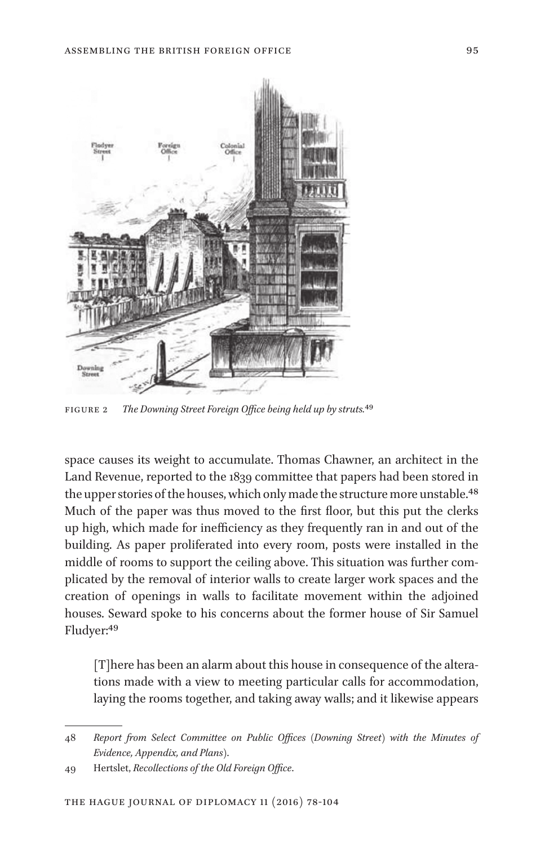

Figure 2 *The Downing Street Foreign Office being held up by struts.*49

space causes its weight to accumulate. Thomas Chawner, an architect in the Land Revenue, reported to the 1839 committee that papers had been stored in the upper stories of the houses, which only made the structure more unstable.<sup>48</sup> Much of the paper was thus moved to the first floor, but this put the clerks up high, which made for inefficiency as they frequently ran in and out of the building. As paper proliferated into every room, posts were installed in the middle of rooms to support the ceiling above. This situation was further complicated by the removal of interior walls to create larger work spaces and the creation of openings in walls to facilitate movement within the adjoined houses. Seward spoke to his concerns about the former house of Sir Samuel Fludyer:49

[T]here has been an alarm about this house in consequence of the alterations made with a view to meeting particular calls for accommodation, laying the rooms together, and taking away walls; and it likewise appears

<sup>48</sup> *Report from Select Committee on Public Offices (Downing Street) with the Minutes of Evidence, Appendix, and Plans*).

<sup>49</sup> Hertslet, *Recollections of the Old Foreign Office*.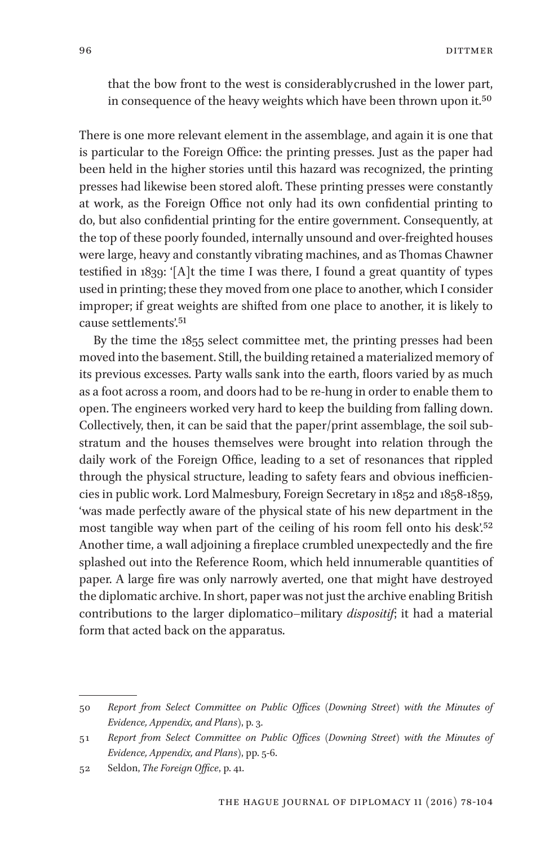96 **DITTMER** 

that the bow front to the west is considerablycrushed in the lower part, in consequence of the heavy weights which have been thrown upon it.<sup>50</sup>

There is one more relevant element in the assemblage, and again it is one that is particular to the Foreign Office: the printing presses. Just as the paper had been held in the higher stories until this hazard was recognized, the printing presses had likewise been stored aloft. These printing presses were constantly at work, as the Foreign Office not only had its own confidential printing to do, but also confidential printing for the entire government. Consequently, at the top of these poorly founded, internally unsound and over-freighted houses were large, heavy and constantly vibrating machines, and as Thomas Chawner testified in 1839: '[A]t the time I was there, I found a great quantity of types used in printing; these they moved from one place to another, which I consider improper; if great weights are shifted from one place to another, it is likely to cause settlements'.51

By the time the 1855 select committee met, the printing presses had been moved into the basement. Still, the building retained a materialized memory of its previous excesses. Party walls sank into the earth, floors varied by as much as a foot across a room, and doors had to be re-hung in order to enable them to open. The engineers worked very hard to keep the building from falling down. Collectively, then, it can be said that the paper/print assemblage, the soil substratum and the houses themselves were brought into relation through the daily work of the Foreign Office, leading to a set of resonances that rippled through the physical structure, leading to safety fears and obvious inefficiencies in public work. Lord Malmesbury, Foreign Secretary in 1852 and 1858-1859, 'was made perfectly aware of the physical state of his new department in the most tangible way when part of the ceiling of his room fell onto his desk'.<sup>52</sup> Another time, a wall adjoining a fireplace crumbled unexpectedly and the fire splashed out into the Reference Room, which held innumerable quantities of paper. A large fire was only narrowly averted, one that might have destroyed the diplomatic archive. In short, paper was not just the archive enabling British contributions to the larger diplomatico–military *dispositif*; it had a material form that acted back on the apparatus.

<sup>50</sup> *Report from Select Committee on Public Offices (Downing Street) with the Minutes of Evidence, Appendix, and Plans*), p. 3.

<sup>51</sup> *Report from Select Committee on Public Offices (Downing Street) with the Minutes of Evidence, Appendix, and Plans*), pp. 5-6.

<sup>52</sup> Seldon, *The Foreign Office*, p. 41.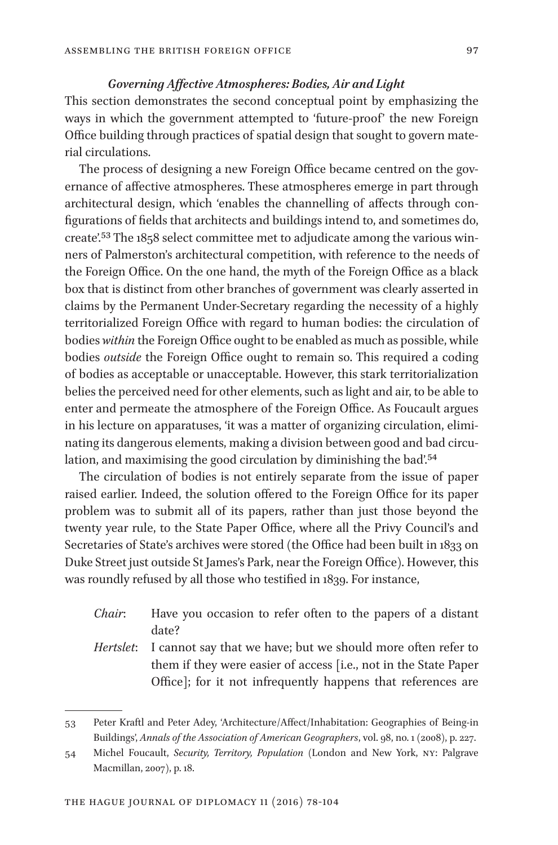# *Governing Affective Atmospheres: Bodies, Air and Light*

This section demonstrates the second conceptual point by emphasizing the ways in which the government attempted to 'future-proof' the new Foreign Office building through practices of spatial design that sought to govern material circulations.

The process of designing a new Foreign Office became centred on the governance of affective atmospheres. These atmospheres emerge in part through architectural design, which 'enables the channelling of affects through configurations of fields that architects and buildings intend to, and sometimes do, create'.53 The 1858 select committee met to adjudicate among the various winners of Palmerston's architectural competition, with reference to the needs of the Foreign Office. On the one hand, the myth of the Foreign Office as a black box that is distinct from other branches of government was clearly asserted in claims by the Permanent Under-Secretary regarding the necessity of a highly territorialized Foreign Office with regard to human bodies: the circulation of bodies *within* the Foreign Office ought to be enabled as much as possible, while bodies *outside* the Foreign Office ought to remain so. This required a coding of bodies as acceptable or unacceptable. However, this stark territorialization belies the perceived need for other elements, such as light and air, to be able to enter and permeate the atmosphere of the Foreign Office. As Foucault argues in his lecture on apparatuses, 'it was a matter of organizing circulation, eliminating its dangerous elements, making a division between good and bad circulation, and maximising the good circulation by diminishing the bad'.54

The circulation of bodies is not entirely separate from the issue of paper raised earlier. Indeed, the solution offered to the Foreign Office for its paper problem was to submit all of its papers, rather than just those beyond the twenty year rule, to the State Paper Office, where all the Privy Council's and Secretaries of State's archives were stored (the Office had been built in 1833 on Duke Street just outside St James's Park, near the Foreign Office). However, this was roundly refused by all those who testified in 1839. For instance,

- *Chair*: Have you occasion to refer often to the papers of a distant date?
- *Hertslet*: I cannot say that we have; but we should more often refer to them if they were easier of access [i.e., not in the State Paper Office]; for it not infrequently happens that references are

<sup>53</sup> Peter Kraftl and Peter Adey, 'Architecture/Affect/Inhabitation: Geographies of Being-in Buildings', *Annals of the Association of American Geographers*, vol. 98, no. 1 (2008), p. 227.

<sup>54</sup> Michel Foucault, *Security, Territory, Population* (London and New York, NY: Palgrave Macmillan, 2007), p. 18.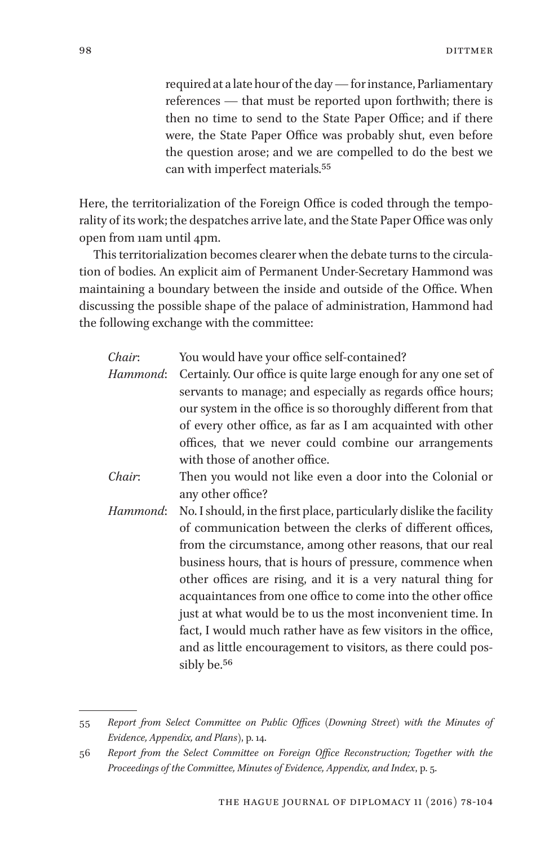required at a late hour of the day — for instance, Parliamentary references — that must be reported upon forthwith; there is then no time to send to the State Paper Office; and if there were, the State Paper Office was probably shut, even before the question arose; and we are compelled to do the best we can with imperfect materials.55

Here, the territorialization of the Foreign Office is coded through the temporality of its work; the despatches arrive late, and the State Paper Office was only open from 11am until 4pm.

This territorialization becomes clearer when the debate turns to the circulation of bodies. An explicit aim of Permanent Under-Secretary Hammond was maintaining a boundary between the inside and outside of the Office. When discussing the possible shape of the palace of administration, Hammond had the following exchange with the committee:

| Chair:   | You would have your office self-contained?                          |
|----------|---------------------------------------------------------------------|
| Hammond: | Certainly. Our office is quite large enough for any one set of      |
|          | servants to manage; and especially as regards office hours;         |
|          | our system in the office is so thoroughly different from that       |
|          | of every other office, as far as I am acquainted with other         |
|          | offices, that we never could combine our arrangements               |
|          | with those of another office.                                       |
| Chair:   | Then you would not like even a door into the Colonial or            |
|          | any other office?                                                   |
| Hammond: | No. I should, in the first place, particularly dislike the facility |
|          | of communication between the clerks of different offices,           |
|          | from the circumstance, among other reasons, that our real           |
|          | business hours, that is hours of pressure, commence when            |
|          | other offices are rising, and it is a very natural thing for        |
|          | acquaintances from one office to come into the other office         |
|          | just at what would be to us the most inconvenient time. In          |
|          | fact, I would much rather have as few visitors in the office,       |
|          | and as little encouragement to visitors, as there could pos-        |
|          | sibly be. <sup>56</sup>                                             |

<sup>55</sup> *Report from Select Committee on Public Offices (Downing Street) with the Minutes of Evidence, Appendix, and Plans*), p. 14.

<sup>56</sup> *Report from the Select Committee on Foreign Office Reconstruction; Together with the Proceedings of the Committee, Minutes of Evidence, Appendix, and Index*, p. 5.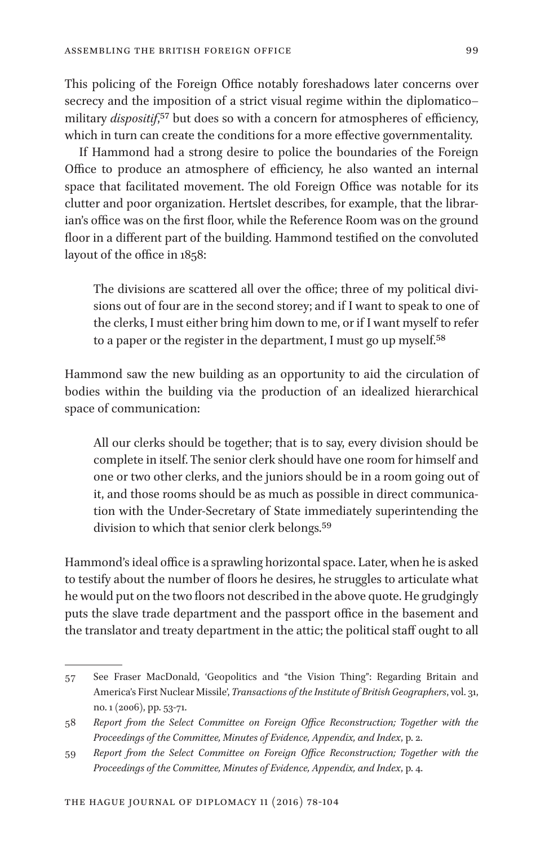This policing of the Foreign Office notably foreshadows later concerns over secrecy and the imposition of a strict visual regime within the diplomatico– military *dispositif*,57 but does so with a concern for atmospheres of efficiency, which in turn can create the conditions for a more effective governmentality.

If Hammond had a strong desire to police the boundaries of the Foreign Office to produce an atmosphere of efficiency, he also wanted an internal space that facilitated movement. The old Foreign Office was notable for its clutter and poor organization. Hertslet describes, for example, that the librarian's office was on the first floor, while the Reference Room was on the ground floor in a different part of the building. Hammond testified on the convoluted layout of the office in 1858:

The divisions are scattered all over the office; three of my political divisions out of four are in the second storey; and if I want to speak to one of the clerks, I must either bring him down to me, or if I want myself to refer to a paper or the register in the department, I must go up myself.<sup>58</sup>

Hammond saw the new building as an opportunity to aid the circulation of bodies within the building via the production of an idealized hierarchical space of communication:

All our clerks should be together; that is to say, every division should be complete in itself. The senior clerk should have one room for himself and one or two other clerks, and the juniors should be in a room going out of it, and those rooms should be as much as possible in direct communication with the Under-Secretary of State immediately superintending the division to which that senior clerk belongs.59

Hammond's ideal office is a sprawling horizontal space. Later, when he is asked to testify about the number of floors he desires, he struggles to articulate what he would put on the two floors not described in the above quote. He grudgingly puts the slave trade department and the passport office in the basement and the translator and treaty department in the attic; the political staff ought to all

<sup>57</sup> See Fraser MacDonald, 'Geopolitics and "the Vision Thing": Regarding Britain and America's First Nuclear Missile', *Transactions of the Institute of British Geographers*, vol. 31, no. 1 (2006), pp. 53-71.

<sup>58</sup> *Report from the Select Committee on Foreign Office Reconstruction; Together with the Proceedings of the Committee, Minutes of Evidence, Appendix, and Index*, p. 2.

<sup>59</sup> *Report from the Select Committee on Foreign Office Reconstruction; Together with the Proceedings of the Committee, Minutes of Evidence, Appendix, and Index*, p. 4.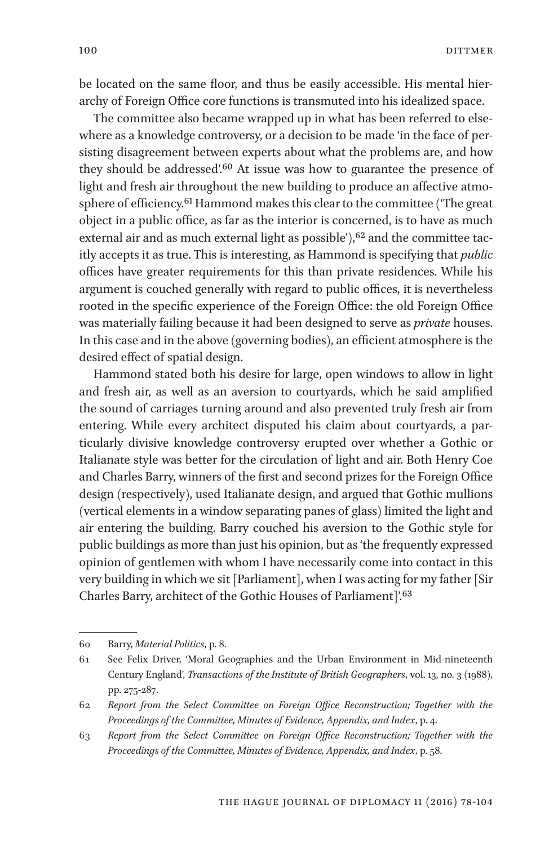be located on the same floor, and thus be easily accessible. His mental hierarchy of Foreign Office core functions is transmuted into his idealized space.

The committee also became wrapped up in what has been referred to elsewhere as a knowledge controversy, or a decision to be made 'in the face of persisting disagreement between experts about what the problems are, and how they should be addressed'.<sup>60</sup> At issue was how to guarantee the presence of light and fresh air throughout the new building to produce an affective atmosphere of efficiency.<sup>61</sup> Hammond makes this clear to the committee ('The great object in a public office, as far as the interior is concerned, is to have as much external air and as much external light as possible'),<sup>62</sup> and the committee tacitly accepts it as true. This is interesting, as Hammond is specifying that *public* offices have greater requirements for this than private residences. While his argument is couched generally with regard to public offices, it is nevertheless rooted in the specific experience of the Foreign Office: the old Foreign Office was materially failing because it had been designed to serve as *private* houses. In this case and in the above (governing bodies), an efficient atmosphere is the desired effect of spatial design.

Hammond stated both his desire for large, open windows to allow in light and fresh air, as well as an aversion to courtyards, which he said amplified the sound of carriages turning around and also prevented truly fresh air from entering. While every architect disputed his claim about courtyards, a particularly divisive knowledge controversy erupted over whether a Gothic or Italianate style was better for the circulation of light and air. Both Henry Coe and Charles Barry, winners of the first and second prizes for the Foreign Office design (respectively), used Italianate design, and argued that Gothic mullions (vertical elements in a window separating panes of glass) limited the light and air entering the building. Barry couched his aversion to the Gothic style for public buildings as more than just his opinion, but as 'the frequently expressed opinion of gentlemen with whom I have necessarily come into contact in this very building in which we sit [Parliament], when I was acting for my father [Sir Charles Barry, architect of the Gothic Houses of Parliament]'.63

<sup>60</sup> Barry, *Material Politics*, p. 8.

<sup>61</sup> See Felix Driver, 'Moral Geographies and the Urban Environment in Mid-nineteenth Century England', *Transactions of the Institute of British Geographers*, vol. 13, no. 3 (1988), pp. 275-287.

<sup>62</sup> *Report from the Select Committee on Foreign Office Reconstruction; Together with the Proceedings of the Committee, Minutes of Evidence, Appendix, and Index*, p. 4.

<sup>63</sup> *Report from the Select Committee on Foreign Office Reconstruction; Together with the Proceedings of the Committee, Minutes of Evidence, Appendix, and Index*, p. 58.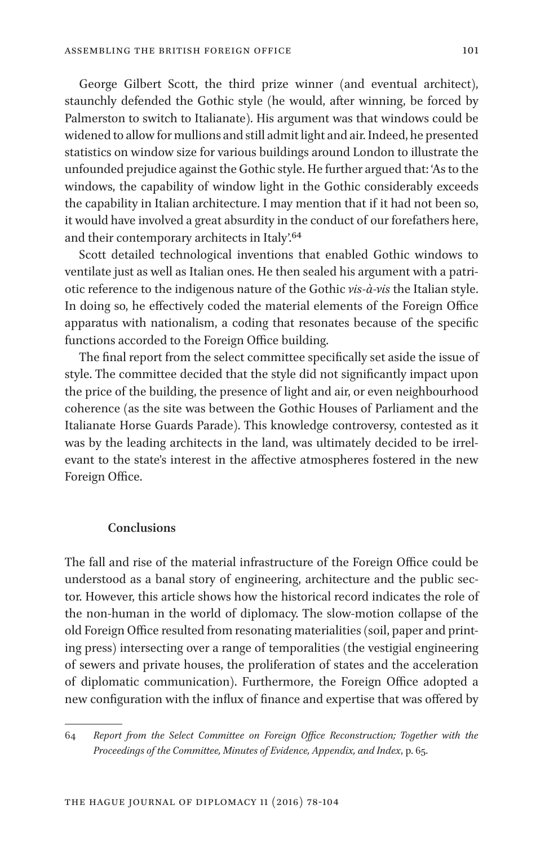George Gilbert Scott, the third prize winner (and eventual architect), staunchly defended the Gothic style (he would, after winning, be forced by Palmerston to switch to Italianate). His argument was that windows could be widened to allow for mullions and still admit light and air. Indeed, he presented statistics on window size for various buildings around London to illustrate the unfounded prejudice against the Gothic style. He further argued that: 'As to the windows, the capability of window light in the Gothic considerably exceeds the capability in Italian architecture. I may mention that if it had not been so, it would have involved a great absurdity in the conduct of our forefathers here, and their contemporary architects in Italy'.64

Scott detailed technological inventions that enabled Gothic windows to ventilate just as well as Italian ones. He then sealed his argument with a patriotic reference to the indigenous nature of the Gothic *vis-à-vis* the Italian style. In doing so, he effectively coded the material elements of the Foreign Office apparatus with nationalism, a coding that resonates because of the specific functions accorded to the Foreign Office building.

The final report from the select committee specifically set aside the issue of style. The committee decided that the style did not significantly impact upon the price of the building, the presence of light and air, or even neighbourhood coherence (as the site was between the Gothic Houses of Parliament and the Italianate Horse Guards Parade). This knowledge controversy, contested as it was by the leading architects in the land, was ultimately decided to be irrelevant to the state's interest in the affective atmospheres fostered in the new Foreign Office.

### **Conclusions**

The fall and rise of the material infrastructure of the Foreign Office could be understood as a banal story of engineering, architecture and the public sector. However, this article shows how the historical record indicates the role of the non-human in the world of diplomacy. The slow-motion collapse of the old Foreign Office resulted from resonating materialities (soil, paper and printing press) intersecting over a range of temporalities (the vestigial engineering of sewers and private houses, the proliferation of states and the acceleration of diplomatic communication). Furthermore, the Foreign Office adopted a new configuration with the influx of finance and expertise that was offered by

<sup>64</sup> *Report from the Select Committee on Foreign Office Reconstruction; Together with the Proceedings of the Committee, Minutes of Evidence, Appendix, and Index*, p. 65.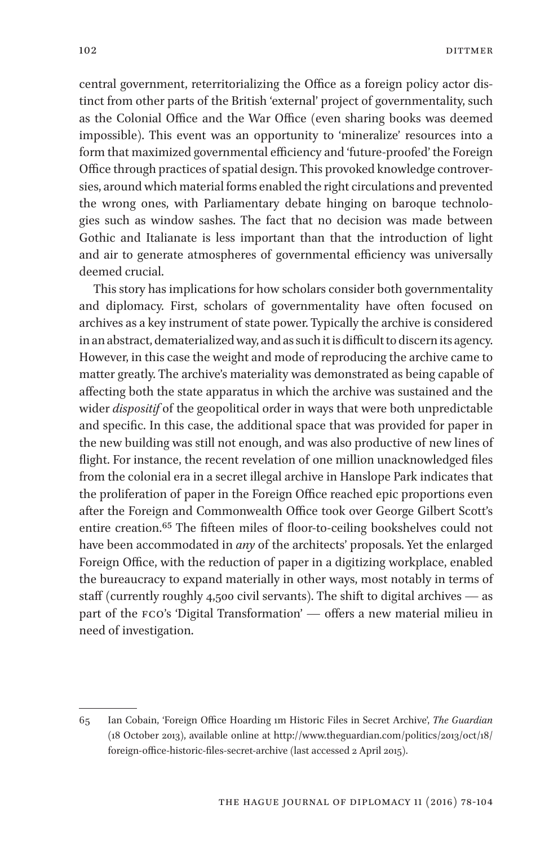central government, reterritorializing the Office as a foreign policy actor distinct from other parts of the British 'external' project of governmentality, such as the Colonial Office and the War Office (even sharing books was deemed impossible). This event was an opportunity to 'mineralize' resources into a form that maximized governmental efficiency and 'future-proofed' the Foreign Office through practices of spatial design. This provoked knowledge controver-

sies, around which material forms enabled the right circulations and prevented the wrong ones, with Parliamentary debate hinging on baroque technologies such as window sashes. The fact that no decision was made between Gothic and Italianate is less important than that the introduction of light and air to generate atmospheres of governmental efficiency was universally deemed crucial.

This story has implications for how scholars consider both governmentality and diplomacy. First, scholars of governmentality have often focused on archives as a key instrument of state power. Typically the archive is considered in an abstract, dematerialized way, and as such it is difficult to discern its agency. However, in this case the weight and mode of reproducing the archive came to matter greatly. The archive's materiality was demonstrated as being capable of affecting both the state apparatus in which the archive was sustained and the wider *dispositif* of the geopolitical order in ways that were both unpredictable and specific. In this case, the additional space that was provided for paper in the new building was still not enough, and was also productive of new lines of flight. For instance, the recent revelation of one million unacknowledged files from the colonial era in a secret illegal archive in Hanslope Park indicates that the proliferation of paper in the Foreign Office reached epic proportions even after the Foreign and Commonwealth Office took over George Gilbert Scott's entire creation.65 The fifteen miles of floor-to-ceiling bookshelves could not have been accommodated in *any* of the architects' proposals. Yet the enlarged Foreign Office, with the reduction of paper in a digitizing workplace, enabled the bureaucracy to expand materially in other ways, most notably in terms of staff (currently roughly 4,500 civil servants). The shift to digital archives — as part of the FCO's 'Digital Transformation' — offers a new material milieu in need of investigation.

<sup>65</sup> Ian Cobain, 'Foreign Office Hoarding 1m Historic Files in Secret Archive', *The Guardian* (18 October 2013), available online at http://www.theguardian.com/politics/2013/oct/18/ foreign-office-historic-files-secret-archive (last accessed 2 April 2015).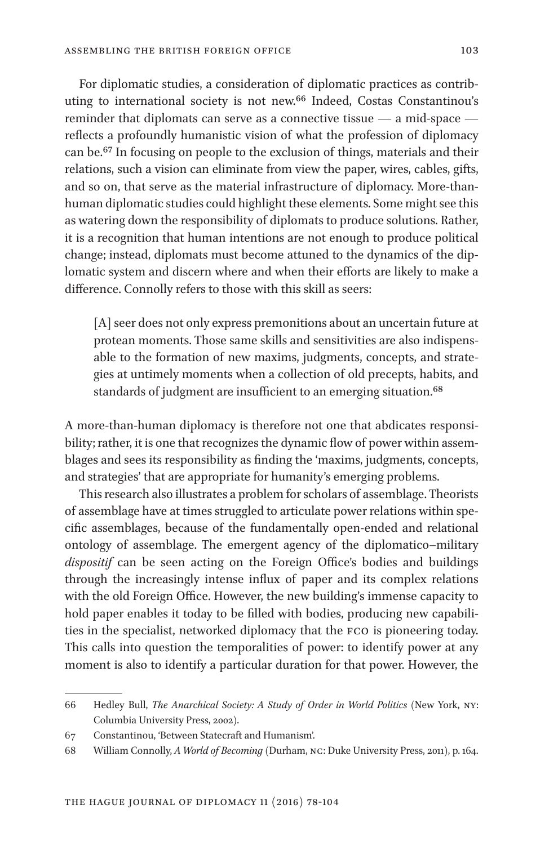For diplomatic studies, a consideration of diplomatic practices as contributing to international society is not new.66 Indeed, Costas Constantinou's reminder that diplomats can serve as a connective tissue — a mid-space reflects a profoundly humanistic vision of what the profession of diplomacy can be.67 In focusing on people to the exclusion of things, materials and their relations, such a vision can eliminate from view the paper, wires, cables, gifts, and so on, that serve as the material infrastructure of diplomacy. More-thanhuman diplomatic studies could highlight these elements. Some might see this as watering down the responsibility of diplomats to produce solutions. Rather, it is a recognition that human intentions are not enough to produce political change; instead, diplomats must become attuned to the dynamics of the diplomatic system and discern where and when their efforts are likely to make a difference. Connolly refers to those with this skill as seers:

[A] seer does not only express premonitions about an uncertain future at protean moments. Those same skills and sensitivities are also indispensable to the formation of new maxims, judgments, concepts, and strategies at untimely moments when a collection of old precepts, habits, and standards of judgment are insufficient to an emerging situation.<sup>68</sup>

A more-than-human diplomacy is therefore not one that abdicates responsibility; rather, it is one that recognizes the dynamic flow of power within assemblages and sees its responsibility as finding the 'maxims, judgments, concepts, and strategies' that are appropriate for humanity's emerging problems.

This research also illustrates a problem for scholars of assemblage. Theorists of assemblage have at times struggled to articulate power relations within specific assemblages, because of the fundamentally open-ended and relational ontology of assemblage. The emergent agency of the diplomatico–military *dispositif* can be seen acting on the Foreign Office's bodies and buildings through the increasingly intense influx of paper and its complex relations with the old Foreign Office. However, the new building's immense capacity to hold paper enables it today to be filled with bodies, producing new capabilities in the specialist, networked diplomacy that the FCO is pioneering today. This calls into question the temporalities of power: to identify power at any moment is also to identify a particular duration for that power. However, the

<sup>66</sup> Hedley Bull, *The Anarchical Society: A Study of Order in World Politics* (New York, NY: Columbia University Press, 2002).

<sup>67</sup> Constantinou, 'Between Statecraft and Humanism'.

<sup>68</sup> William Connolly, *A World of Becoming* (Durham, NC: Duke University Press, 2011), p. 164.